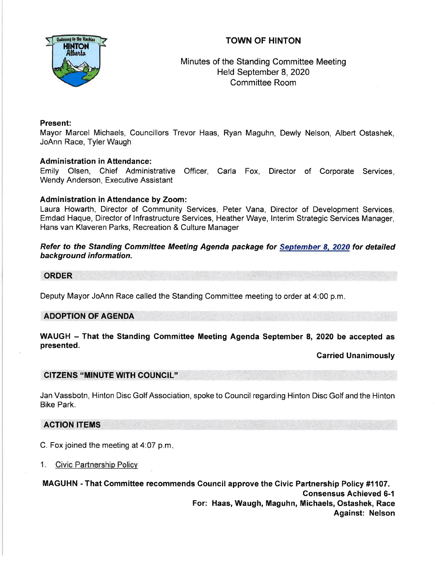# TOWN OF HINTON



Minutes of the Standing Committee Meeting Held September 8,2020 Committee Room

## Present:

Mayor Marcel Michaels, Councillors Trevor Haas, Ryan Maguhn, Dewly Nelson, Albert Ostashek, JoAnn Race, Tyler Waugh

## Administration in Attendance:

Emily Olsen, Chief Administrative Officer, Carla Fox, Director of Corporate Services Wendy Anderson, Executive Assistant

## Administration in Attendance by Zoom:

Laura Howarth, Director of Community Services, Peter Vana, Director of Development Services, Emdad Haque, Director of lnfrastructure Services, Heather Waye, lnterim Strategic Services Manager, Hans van Klaveren Parks, Recreation & Culture Manager

Refer to the Standing Committee Meeting Agenda package for September 8, 2020 for detailed background information.

# ORDER

Deputy Mayor JoAnn Race called the Standing Committee meeting to order at 4:00 p.m

#### ADOPTION OF AGENDA

WAUGH - That the Standing Committee Meeting Agenda September 8, 2020 be accepted as presented.

#### Carried Unanimously

## CITZENS "MINUTE WITH COUNCIL"

Jan Vassbotn, Hinton Disc Golf Association, spoke to Council regarding Hinton Disc Golf and the Hinton Bike Park.

## ACTION ITEMS

C. Fox joined the meeting at 4:07 p.m

1. Civic Partnership Policv

MAGUHN - That Committee recommends Gouncil approve the Givic Partnership Policy #1107. Consensus Achieved 6-1 For: Haas, Waugh, Maguhn, Michaels, Ostashek, Race Against: Nelson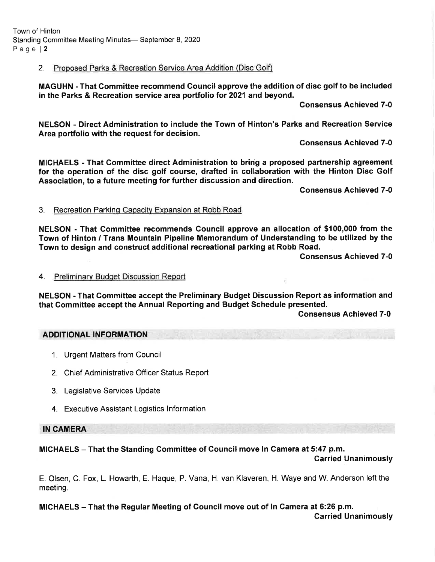Town of Hinton Standing Committee Meeting Minutes- September 8, 2020 Page l2

## 2. Proposed Parks & Recreation Service Area Addition (Disc Golf)

MAGUHN - That Gommittee recommend Council approve the addition of disc golf to be included in the Parks & Recreation service area portfolio for 2021 and beyond.

Gonsensus Achieved 7-0

NELSON - Direct Administration to include the Town of Hinton's Parks and Recreation Service Area portfolio with the request for decision.

Gonsensus Achieved 7-0

MICHAELS - That Gommittee direct Administration to bring a proposed partnership agreement for the operation of the disc golf course, drafted in collaboration with the Hinton Disc Golf Association, to a future meeting for further discussion and direction.

Gonsensus Achieved 7-0

#### 3. Recreation Parkinq Capacity Expansion at Robb Road

NELSON - That Committee recommends Gouncil approve an allocation of \$100,000 from the Town of Hinton / Trans Mountain Pipeline Memorandum of Understanding to be utilized by the Town to design and construct additional recreational parking at Robb Road.

Consensus Achieved 7-0

#### 4. Preliminarv Budqet Discussion Report

NELSON - That Gommittee accept the Preliminary Budget Discussion Report as information and that Committee accept the Annual Reporting and Budget Schedule presented.

Consensus Achieved 7-0

### ADDITIONAL INFORMATION

- 1. Urgent Matters from Council
- 2. Chief Administrative Officer Status Report
- 3. Legislative Services Update
- 4. Executive Assistant Logistics lnformation

IN CAMERA

#### MICHAELS - That the Standing Committee of Gouncil move In Gamera at 5:47 p.m.

Carried Unanimously

E. Olsen, C. Fox, L. Howarth, E. Haque, P. Vana, H. van Klaveren, H. Waye and W. Anderson left the meeting.

MICHAELS - That the Regular Meeting of Gouncil move out of ln Gamera at 6:26 p.m.

Garried Unanimously